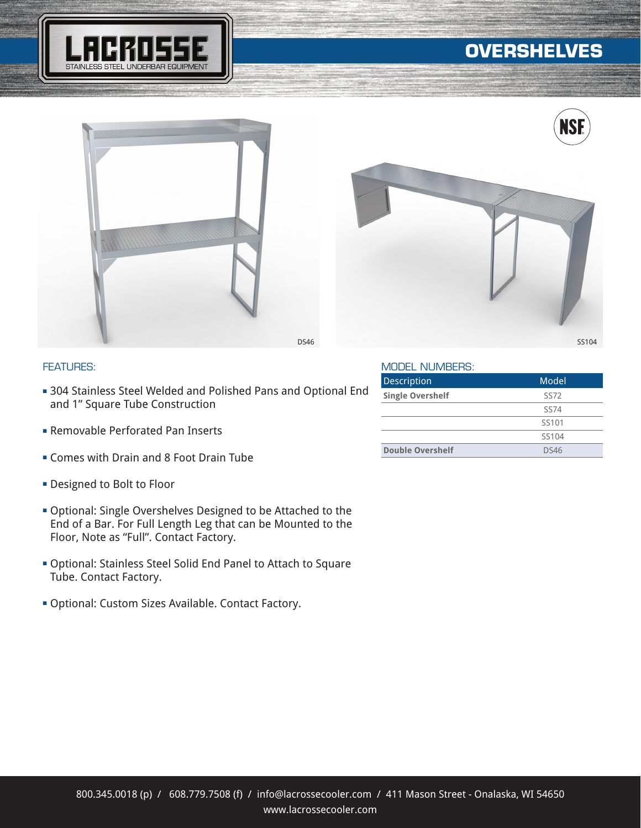

# **OVERSHELVES**





### FEATURES:

- **= 304 Stainless Steel Welded and Polished Pans and Optional End** and 1" Square Tube Construction
- **Exemptable Perforated Pan Inserts**
- **Example 2 Foot Drain Figure 1** Comes with Drain and 8 Foot Drain Tube
- **Designed to Bolt to Floor**
- **Optional: Single Overshelves Designed to be Attached to the** End of a Bar. For Full Length Leg that can be Mounted to the Floor, Note as "Full". Contact Factory.
- **Optional: Stainless Steel Solid End Panel to Attach to Square** Tube. Contact Factory.
- **Optional: Custom Sizes Available. Contact Factory.**

#### MODEL NUMBERS:

| Description             | Model             |
|-------------------------|-------------------|
| <b>Single Overshelf</b> | <b>SS72</b>       |
|                         | SS74              |
|                         | SS <sub>101</sub> |
|                         | SS104             |
| <b>Double Overshelf</b> | DS46              |